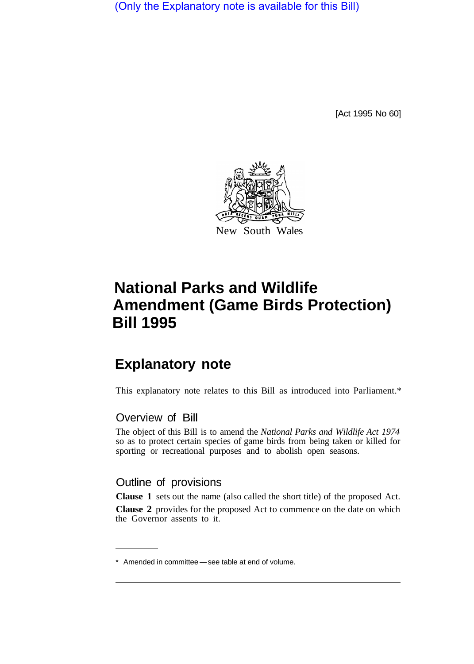(Only the Explanatory note is available for this Bill)

[Act 1995 No 60]



## **National Parks and Wildlife Amendment (Game Birds Protection) Bill 1995**

## **Explanatory note**

This explanatory note relates to this Bill as introduced into Parliament.\*

## Overview of Bill

The object of this Bill is to amend the *National Parks and Wildlife Act 1974*  so as to protect certain species of game birds from being taken or killed for sporting or recreational purposes and to abolish open seasons.

## Outline of provisions

**Clause 1** sets out the name (also called the short title) of the proposed Act. **Clause 2** provides for the proposed Act to commence on the date on which the Governor assents to it.

<sup>\*</sup> Amended in committee - see table at end of volume.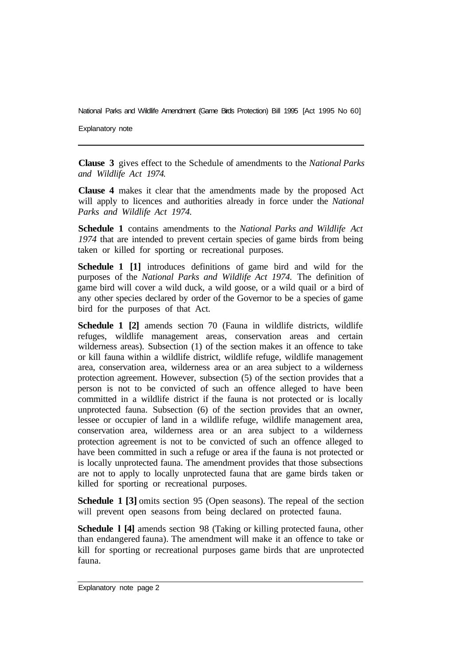National Parks and Wildlife Amendment (Game Birds Protection) Bill 1995 [Act 1995 No 60]

Explanatory note

**Clause 3** gives effect to the Schedule of amendments to the *National Parks and Wildlife Act 1974.* 

**Clause 4** makes it clear that the amendments made by the proposed Act will apply to licences and authorities already in force under the *National Parks and Wildlife Act 1974.* 

**Schedule 1** contains amendments to the *National Parks and Wildlife Act 1974* that are intended to prevent certain species of game birds from being taken or killed for sporting or recreational purposes.

**Schedule 1 [1]** introduces definitions of game bird and wild for the purposes of the *National Parks and Wildlife Act 1974.* The definition of game bird will cover a wild duck, a wild goose, or a wild quail or a bird of any other species declared by order of the Governor to be a species of game bird for the purposes of that Act.

**Schedule 1 [2]** amends section 70 (Fauna in wildlife districts, wildlife refuges, wildlife management areas, conservation areas and certain wilderness areas). Subsection (1) of the section makes it an offence to take or kill fauna within a wildlife district, wildlife refuge, wildlife management area, conservation area, wilderness area or an area subject to a wilderness protection agreement. However, subsection (5) of the section provides that a person is not to be convicted of such an offence alleged to have been committed in a wildlife district if the fauna is not protected or is locally unprotected fauna. Subsection (6) of the section provides that an owner, lessee or occupier of land in a wildlife refuge, wildlife management area, conservation area, wilderness area or an area subject to a wilderness protection agreement is not to be convicted of such an offence alleged to have been committed in such a refuge or area if the fauna is not protected or is locally unprotected fauna. The amendment provides that those subsections are not to apply to locally unprotected fauna that are game birds taken or killed for sporting or recreational purposes.

**Schedule 1 [3]** omits section 95 (Open seasons). The repeal of the section will prevent open seasons from being declared on protected fauna.

**Schedule l [4]** amends section 98 (Taking or killing protected fauna, other than endangered fauna). The amendment will make it an offence to take or kill for sporting or recreational purposes game birds that are unprotected fauna.